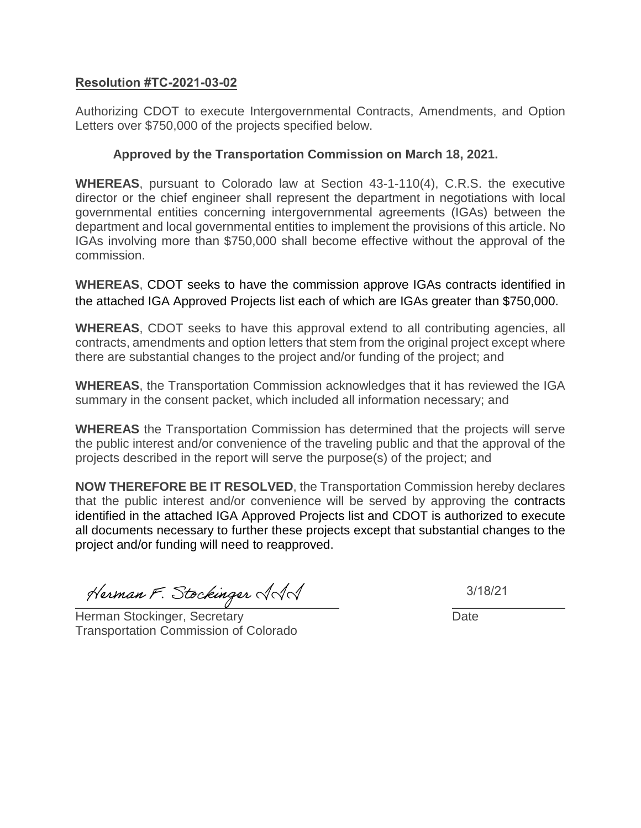## **Resolution #TC-2021-03-02**

Authorizing CDOT to execute Intergovernmental Contracts, Amendments, and Option Letters over \$750,000 of the projects specified below.

## **Approved by the Transportation Commission on March 18, 2021.**

**WHEREAS**, pursuant to Colorado law at Section 43-1-110(4), C.R.S. the executive director or the chief engineer shall represent the department in negotiations with local governmental entities concerning intergovernmental agreements (IGAs) between the department and local governmental entities to implement the provisions of this article. No IGAs involving more than \$750,000 shall become effective without the approval of the commission.

**WHEREAS**, CDOT seeks to have the commission approve IGAs contracts identified in the attached IGA Approved Projects list each of which are IGAs greater than \$750,000.

**WHEREAS**, CDOT seeks to have this approval extend to all contributing agencies, all contracts, amendments and option letters that stem from the original project except where there are substantial changes to the project and/or funding of the project; and

**WHEREAS**, the Transportation Commission acknowledges that it has reviewed the IGA summary in the consent packet, which included all information necessary; and

**WHEREAS** the Transportation Commission has determined that the projects will serve the public interest and/or convenience of the traveling public and that the approval of the projects described in the report will serve the purpose(s) of the project; and

**NOW THEREFORE BE IT RESOLVED**, the Transportation Commission hereby declares that the public interest and/or convenience will be served by approving the contracts identified in the attached IGA Approved Projects list and CDOT is authorized to execute all documents necessary to further these projects except that substantial changes to the project and/or funding will need to reapproved.

Herman F. Stockinger AAA

Herman Stockinger, Secretary **Date** Date Transportation Commission of Colorado

3/18/21